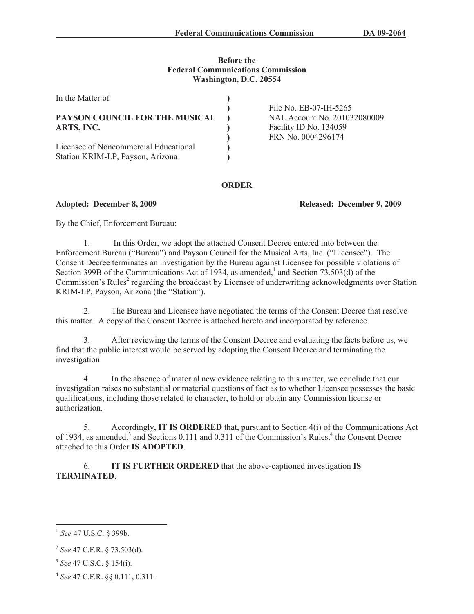## **Before the Federal Communications Commission Washington, D.C. 20554**

| In the Matter of                      |                              |
|---------------------------------------|------------------------------|
|                                       | File No. EB-07-IH-5265       |
| PAYSON COUNCIL FOR THE MUSICAL        | NAL Account No. 201032080009 |
| ARTS, INC.                            | Facility ID No. 134059       |
|                                       | FRN No. 0004296174           |
| Licensee of Noncommercial Educational |                              |
| Station KRIM-LP, Payson, Arizona      |                              |
|                                       |                              |

## **ORDER**

## **Adopted: December 8, 2009 Released: December 9, 2009**

By the Chief, Enforcement Bureau:

1. In this Order, we adopt the attached Consent Decree entered into between the Enforcement Bureau ("Bureau") and Payson Council for the Musical Arts, Inc. ("Licensee"). The Consent Decree terminates an investigation by the Bureau against Licensee for possible violations of Section 399B of the Communications Act of 1934, as amended,<sup>1</sup> and Section 73.503(d) of the Commission's Rules<sup>2</sup> regarding the broadcast by Licensee of underwriting acknowledgments over Station KRIM-LP, Payson, Arizona (the "Station").

2. The Bureau and Licensee have negotiated the terms of the Consent Decree that resolve this matter. A copy of the Consent Decree is attached hereto and incorporated by reference.

3. After reviewing the terms of the Consent Decree and evaluating the facts before us, we find that the public interest would be served by adopting the Consent Decree and terminating the investigation.

4. In the absence of material new evidence relating to this matter, we conclude that our investigation raises no substantial or material questions of fact as to whether Licensee possesses the basic qualifications, including those related to character, to hold or obtain any Commission license or authorization.

5. Accordingly, **IT IS ORDERED** that, pursuant to Section 4(i) of the Communications Act of 1934, as amended,<sup>3</sup> and Sections 0.111 and 0.311 of the Commission's Rules,<sup>4</sup> the Consent Decree attached to this Order **IS ADOPTED**.

6. **IT IS FURTHER ORDERED** that the above-captioned investigation **IS TERMINATED**.

<sup>1</sup> *See* 47 U.S.C. § 399b.

<sup>2</sup> *See* 47 C.F.R. § 73.503(d).

<sup>3</sup> *See* 47 U.S.C. § 154(i).

<sup>4</sup> *See* 47 C.F.R. §§ 0.111, 0.311.